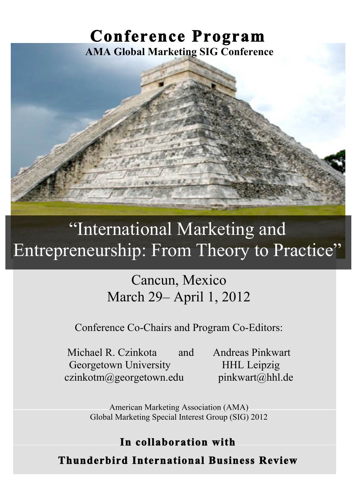## **Conference Program AMA Global Marketing SIG Conference**



# "International Marketing and Entrepreneurship: From Theory to Practice"

## Cancun, Mexico March 29– April 1, 2012

Conference Co-Chairs and Program Co-Editors:

Michael R. Czinkota and Andreas Pinkwart Georgetown University HHL Leipzig czinkotm@georgetown.edu pinkwart@hhl.de

American Marketing Association (AMA) Global Marketing Special Interest Group (SIG) 2012

## **In collaboration with**

**Thunderbird International Business Review**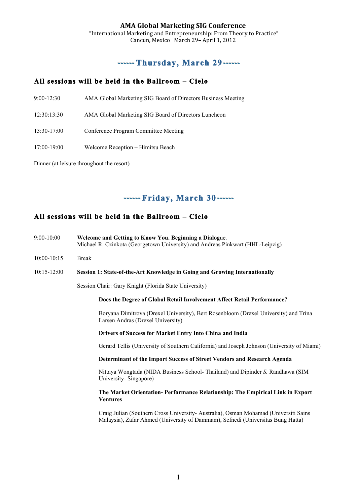### **Thursday, March 29**

### **All sessions will be held in the Ballroom – Cielo**

- 9:00-12:30 AMA Global Marketing SIG Board of Directors Business Meeting
- 12:30:13:30 AMA Global Marketing SIG Board of Directors Luncheon
- 13:30-17:00 Conference Program Committee Meeting
- 17:00-19:00 Welcome Reception Himitsu Beach

Dinner (at leisure throughout the resort)

## **Friday, March 30**

#### **All sessions will be held in the Ballroom – Cielo**

| $9:00-10:00$    | Welcome and Getting to Know You. Beginning a Dialogue.<br>Michael R. Czinkota (Georgetown University) and Andreas Pinkwart (HHL-Leipzig)                               |
|-----------------|------------------------------------------------------------------------------------------------------------------------------------------------------------------------|
| 10:00-10:15     | <b>Break</b>                                                                                                                                                           |
| $10:15 - 12:00$ | Session 1: State-of-the-Art Knowledge in Going and Growing Internationally                                                                                             |
|                 | Session Chair: Gary Knight (Florida State University)                                                                                                                  |
|                 | Does the Degree of Global Retail Involvement Affect Retail Performance?                                                                                                |
|                 | Boryana Dimitrova (Drexel University), Bert Rosenbloom (Drexel University) and Trina<br>Larsen Andras (Drexel University)                                              |
|                 | Drivers of Success for Market Entry Into China and India                                                                                                               |
|                 | Gerard Tellis (University of Southern California) and Joseph Johnson (University of Miami)                                                                             |
|                 | Determinant of the Import Success of Street Vendors and Research Agenda                                                                                                |
|                 | Nittaya Wongtada (NIDA Business School-Thailand) and Dipinder S. Randhawa (SIM<br>University-Singapore)                                                                |
|                 | The Market Orientation-Performance Relationship: The Empirical Link in Export<br><b>Ventures</b>                                                                       |
|                 | Craig Julian (Southern Cross University-Australia), Osman Mohamad (Universiti Sains<br>Malaysia), Zafar Ahmed (University of Dammam), Sefnedi (Universitas Bung Hatta) |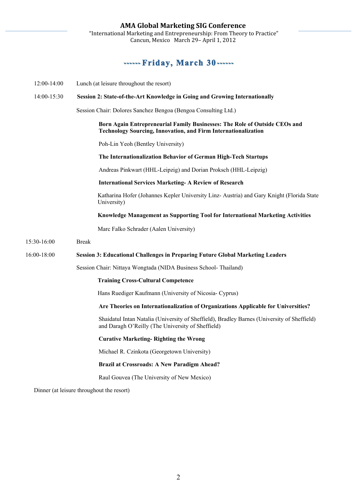**AMA
Global
Marketing
SIG
Conference**  "International
Marketing
and
Entrepreneurship:
From
Theory
to
Practice" Cancun,
Mexico

March
29–
April
1,
2012

## **Friday, March 30**

| $12:00-14:00$ | Lunch (at leisure throughout the resort)                                                                                                            |
|---------------|-----------------------------------------------------------------------------------------------------------------------------------------------------|
| 14:00-15:30   | Session 2: State-of-the-Art Knowledge in Going and Growing Internationally                                                                          |
|               | Session Chair: Dolores Sanchez Bengoa (Bengoa Consulting Ltd.)                                                                                      |
|               | Born Again Entrepreneurial Family Businesses: The Role of Outside CEOs and<br><b>Technology Sourcing, Innovation, and Firm Internationalization</b> |
|               | Poh-Lin Yeoh (Bentley University)                                                                                                                   |
|               | The Internationalization Behavior of German High-Tech Startups                                                                                      |
|               | Andreas Pinkwart (HHL-Leipzig) and Dorian Proksch (HHL-Leipzig)                                                                                     |
|               | <b>International Services Marketing- A Review of Research</b>                                                                                       |
|               | Katharina Hofer (Johannes Kepler University Linz-Austria) and Gary Knight (Florida State<br>University)                                             |
|               | Knowledge Management as Supporting Tool for International Marketing Activities                                                                      |
|               | Marc Falko Schrader (Aalen University)                                                                                                              |
| 15:30-16:00   | <b>Break</b>                                                                                                                                        |
| 16:00-18:00   | <b>Session 3: Educational Challenges in Preparing Future Global Marketing Leaders</b>                                                               |
|               | Session Chair: Nittaya Wongtada (NIDA Business School-Thailand)                                                                                     |
|               | <b>Training Cross-Cultural Competence</b>                                                                                                           |
|               | Hans Ruediger Kaufmann (University of Nicosia- Cyprus)                                                                                              |
|               | Are Theories on Internationalization of Organizations Applicable for Universities?                                                                  |
|               | Shaidatul Intan Natalia (University of Sheffield), Bradley Barnes (University of Sheffield)<br>and Daragh O'Reilly (The University of Sheffield)    |
|               | <b>Curative Marketing-Righting the Wrong</b>                                                                                                        |
|               | Michael R. Czinkota (Georgetown University)                                                                                                         |
|               | <b>Brazil at Crossroads: A New Paradigm Ahead?</b>                                                                                                  |
|               | Raul Gouvea (The University of New Mexico)                                                                                                          |
|               | Dinner (at leisure throughout the resort)                                                                                                           |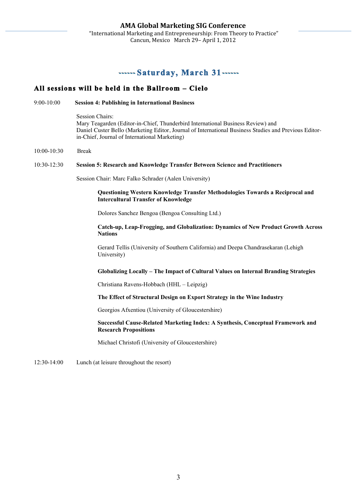### **Saturday, March 31**

#### **All sessions will be held in the Ballroom – Cielo**

9:00-10:00 **Session 4: Publishing in International Business**

Session Chairs: Mary Teagarden (Editor-in-Chief, Thunderbird International Business Review) and Daniel Custer Bello (Marketing Editor, Journal of International Business Studies and Previous Editorin-Chief, Journal of International Marketing)

10:00-10:30 Break

#### 10:30-12:30 **Session 5: Research and Knowledge Transfer Between Science and Practitioners**

Session Chair: Marc Falko Schrader (Aalen University)

**Questioning Western Knowledge Transfer Methodologies Towards a Reciprocal and Intercultural Transfer of Knowledge**

Dolores Sanchez Bengoa (Bengoa Consulting Ltd.)

#### **Catch-up, Leap-Frogging, and Globalization: Dynamics of New Product Growth Across Nations**

Gerard Tellis (University of Southern California) and Deepa Chandrasekaran (Lehigh University)

#### **Globalizing Locally – The Impact of Cultural Values on Internal Branding Strategies**

Christiana Ravens-Hobbach (HHL – Leipzig)

#### **The Effect of Structural Design on Export Strategy in the Wine Industry**

Georgios Afxentiou (University of Gloucestershire)

#### **Successful Cause-Related Marketing Index: A Synthesis, Conceptual Framework and Research Propositions**

Michael Christofi (University of Gloucestershire)

12:30-14:00 Lunch (at leisure throughout the resort)